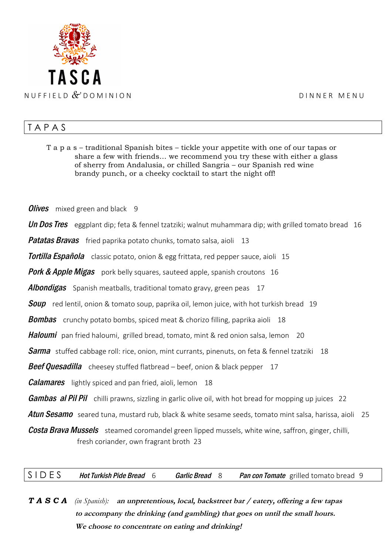

## **TAPAS**

T a p a s – traditional Spanish bites – tickle your appetite with one of our tapas or share a few with friends… we recommend you try these with either a glass of sherry from Andalusia, or chilled Sangria – our Spanish red wine brandy punch, or a cheeky cocktail to start the night off! **Olives** mixed green and black  $9$ Un Dos Tres eggplant dip; feta & fennel tzatziki; walnut muhammara dip; with grilled tomato bread 16 **Patatas Bravas** fried paprika potato chunks, tomato salsa, aioli 13 **Tortilla Española** classic potato, onion & egg frittata, red pepper sauce, aioli 15 **Pork & Apple Migas** pork belly squares, sauteed apple, spanish croutons 16 **Albondigas** Spanish meatballs, traditional tomato gravy, green peas 17 **Soup** red lentil, onion & tomato soup, paprika oil, lemon juice, with hot turkish bread 19 **Bombas** crunchy potato bombs, spiced meat & chorizo filling, paprika aioli 18 **Haloumi** pan fried haloumi, grilled bread, tomato, mint & red onion salsa, lemon 20 **Sarma** stuffed cabbage roll: rice, onion, mint currants, pinenuts, on feta & fennel tzatziki 18 **Beef Quesadilla** cheesey stuffed flatbread – beef, onion & black pepper 17 *Calamares* lightly spiced and pan fried, aioli, lemon 18 **Gambas al Pil Pil** chilli prawns, sizzling in garlic olive oil, with hot bread for mopping up juices 22 Atun Sesamo seared tuna, mustard rub, black & white sesame seeds, tomato mint salsa, harissa, aioli 25 **Costa Brava Mussels** steamed coromandel green lipped mussels, white wine, saffron, ginger, chilli, fresh coriander, own fragrant broth 23

S I D E S Hot Turkish Pide Bread 6 Garlic Bread 8 Pan con Tomate grilled tomato bread 9

*T A S C A (in Spanish):* **an unpretentious, local, backstreet bar / eatery, offering a few tapas to accompany the drinking (and gambling) that goes on until the small hours. We choose to concentrate on eating and drinking!**